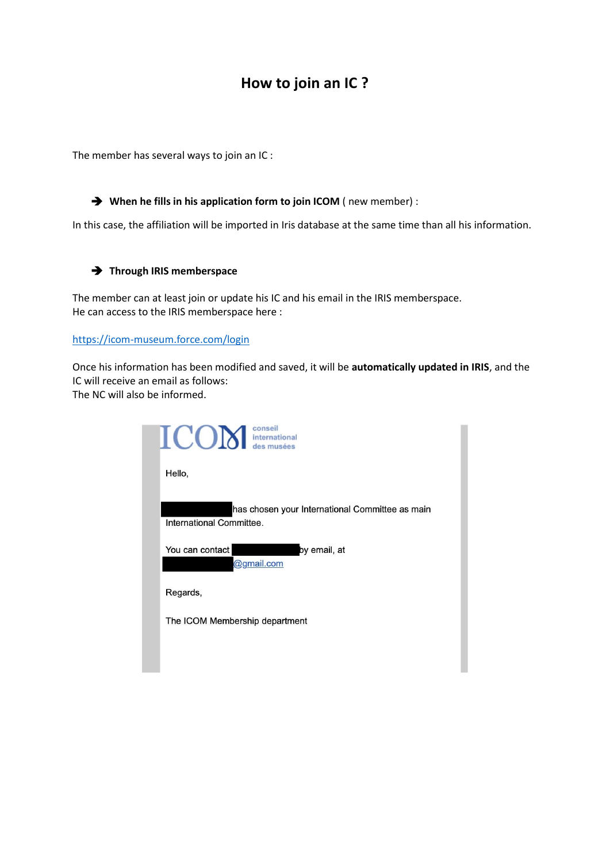## **How to join an IC ?**

The member has several ways to join an IC :

➔ **When he fills in his application form to join ICOM** ( new member) :

In this case, the affiliation will be imported in Iris database at the same time than all his information.

## ➔ **Through IRIS memberspace**

The member can at least join or update his IC and his email in the IRIS memberspace. He can access to the IRIS memberspace here :

<https://icom-museum.force.com/login>

Once his information has been modified and saved, it will be **automatically updated in IRIS**, and the IC will receive an email as follows: The NC will also be informed.

| $ICON$ $\frac{1}{\text{the standard deviation of the number of times per unit.}}$ |  |
|-----------------------------------------------------------------------------------|--|
| Hello,                                                                            |  |
| has chosen your International Committee as main<br>International Committee.       |  |
| You can contact<br>by email, at<br>@gmail.com                                     |  |
| Regards,                                                                          |  |
| The ICOM Membership department                                                    |  |
|                                                                                   |  |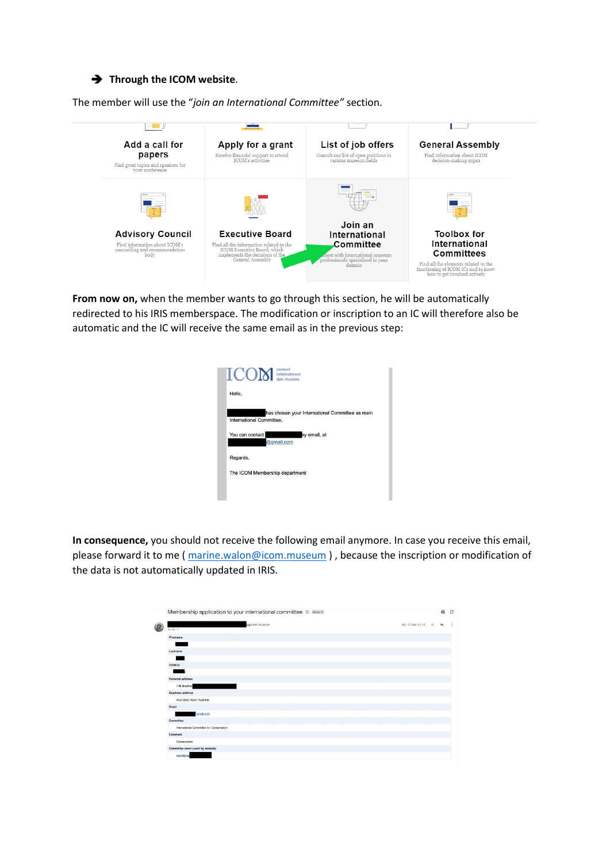## ➔ **Through the ICOM website**.

The member will use the "*join an International Committee"* section.



**From now on,** when the member wants to go through this section, he will be automatically redirected to his IRIS memberspace. The modification or inscription to an IC will therefore also be automatic and the IC will receive the same email as in the previous step:

| Hello.                   |                                                 |
|--------------------------|-------------------------------------------------|
| International Committee. | has chosen your International Committee as main |
| You can contact          | by email, at<br>@gmail.com                      |
| Regards,                 |                                                 |
|                          | The ICOM Membership department                  |

**In consequence,** you should not receive the following email anymore. In case you receive this email, please forward it to me [\( marine.walon@icom.museum](mailto:marine.walon@icom.museum) ) , because the inscription or modification of the data is not automatically updated in IRIS.

| Membership application to your international committee D Inbox x |                    | 帚 |
|------------------------------------------------------------------|--------------------|---|
| via icom.museum<br>to me =                                       | Sat, 12 Sep, 01:13 |   |
| Firstname                                                        |                    |   |
| Lastname                                                         |                    |   |
| <b>ICOM</b> id                                                   |                    |   |
| Personal address                                                 |                    |   |
| 17B Bradfield<br><b>Business address</b>                         |                    |   |
| ANU 2000 Acton Australie<br>Email                                |                    |   |
| sgmail.com                                                       |                    |   |
| Committee<br>International Committee for Conservation            |                    |   |
| Comment                                                          |                    |   |
| Conservation<br>Committee email (used by website)                |                    |   |
| secretariat                                                      |                    |   |